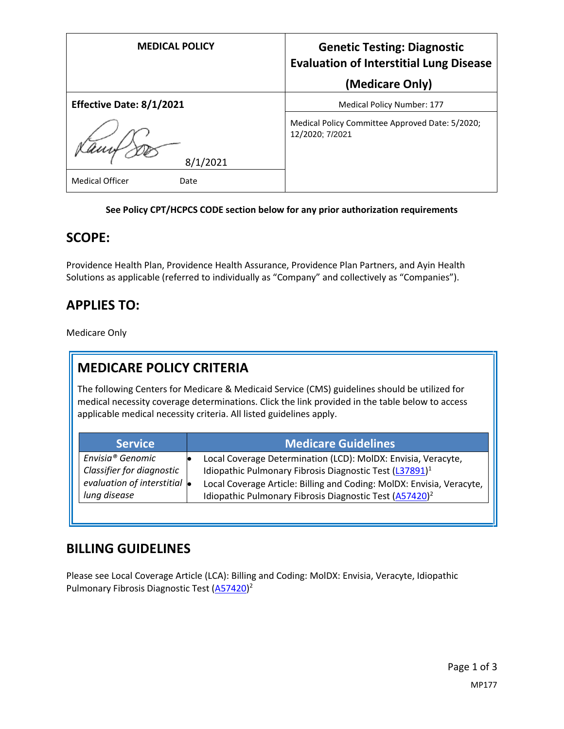| <b>MEDICAL POLICY</b>          | <b>Genetic Testing: Diagnostic</b><br><b>Evaluation of Interstitial Lung Disease</b><br>(Medicare Only) |
|--------------------------------|---------------------------------------------------------------------------------------------------------|
| Effective Date: 8/1/2021       | Medical Policy Number: 177                                                                              |
| 8/1/2021                       | Medical Policy Committee Approved Date: 5/2020;<br>12/2020; 7/2021                                      |
| <b>Medical Officer</b><br>Date |                                                                                                         |

#### **See Policy CPT/HCPCS CODE section below for any prior authorization requirements**

#### **SCOPE:**

Providence Health Plan, Providence Health Assurance, Providence Plan Partners, and Ayin Health Solutions as applicable (referred to individually as "Company" and collectively as "Companies").

# **APPLIES TO:**

Medicare Only

# **MEDICARE POLICY CRITERIA**

The following Centers for Medicare & Medicaid Service (CMS) guidelines should be utilized for medical necessity coverage determinations. Click the link provided in the table below to access applicable medical necessity criteria. All listed guidelines apply.

| <b>Service</b>                       | <b>Medicare Guidelines</b>                                            |
|--------------------------------------|-----------------------------------------------------------------------|
| Envisia <sup>®</sup> Genomic         | Local Coverage Determination (LCD): MolDX: Envisia, Veracyte,         |
| Classifier for diagnostic            | Idiopathic Pulmonary Fibrosis Diagnostic Test (L37891) <sup>1</sup>   |
| evaluation of interstitial $\bullet$ | Local Coverage Article: Billing and Coding: MolDX: Envisia, Veracyte, |
| lung disease                         | Idiopathic Pulmonary Fibrosis Diagnostic Test (A57420) <sup>2</sup>   |

### **BILLING GUIDELINES**

Please see Local Coverage Article (LCA): Billing and Coding: MolDX: Envisia, Veracyte, Idiopathic Pulmonary Fibrosis Diagnostic Test [\(A57420\)](https://www.cms.gov/medicare-coverage-database/details/article-details.aspx?articleId=57420)<sup>2</sup>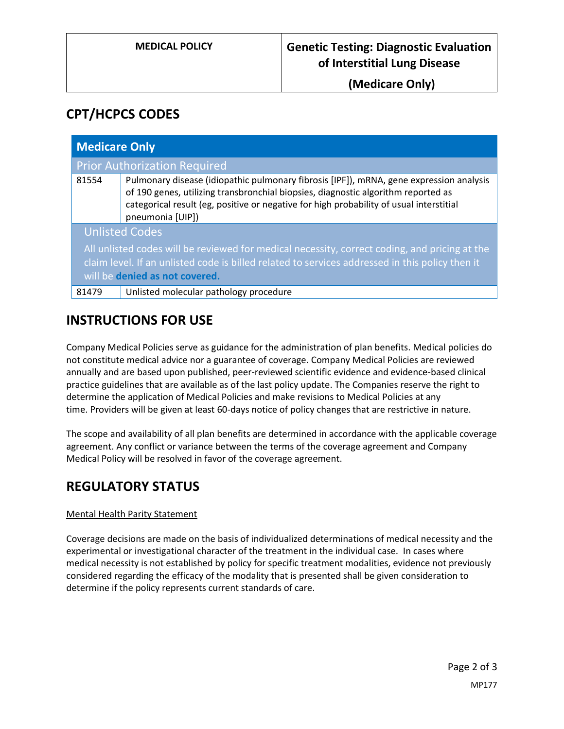**(Medicare Only)**

## **CPT/HCPCS CODES**

| <b>Medicare Only</b>                                                                                                                                                                                                               |                                                                                                                                                                                                                                                                                             |  |
|------------------------------------------------------------------------------------------------------------------------------------------------------------------------------------------------------------------------------------|---------------------------------------------------------------------------------------------------------------------------------------------------------------------------------------------------------------------------------------------------------------------------------------------|--|
|                                                                                                                                                                                                                                    | <b>Prior Authorization Required</b>                                                                                                                                                                                                                                                         |  |
| 81554                                                                                                                                                                                                                              | Pulmonary disease (idiopathic pulmonary fibrosis [IPF]), mRNA, gene expression analysis<br>of 190 genes, utilizing transbronchial biopsies, diagnostic algorithm reported as<br>categorical result (eg, positive or negative for high probability of usual interstitial<br>pneumonia [UIP]) |  |
| <b>Unlisted Codes</b>                                                                                                                                                                                                              |                                                                                                                                                                                                                                                                                             |  |
| All unlisted codes will be reviewed for medical necessity, correct coding, and pricing at the<br>claim level. If an unlisted code is billed related to services addressed in this policy then it<br>will be denied as not covered. |                                                                                                                                                                                                                                                                                             |  |
| 81479                                                                                                                                                                                                                              | Unlisted molecular pathology procedure                                                                                                                                                                                                                                                      |  |

## **INSTRUCTIONS FOR USE**

Company Medical Policies serve as guidance for the administration of plan benefits. Medical policies do not constitute medical advice nor a guarantee of coverage. Company Medical Policies are reviewed annually and are based upon published, peer-reviewed scientific evidence and evidence-based clinical practice guidelines that are available as of the last policy update. The Companies reserve the right to determine the application of Medical Policies and make revisions to Medical Policies at any time. Providers will be given at least 60-days notice of policy changes that are restrictive in nature.

The scope and availability of all plan benefits are determined in accordance with the applicable coverage agreement. Any conflict or variance between the terms of the coverage agreement and Company Medical Policy will be resolved in favor of the coverage agreement.

# **REGULATORY STATUS**

#### Mental Health Parity Statement

Coverage decisions are made on the basis of individualized determinations of medical necessity and the experimental or investigational character of the treatment in the individual case. In cases where medical necessity is not established by policy for specific treatment modalities, evidence not previously considered regarding the efficacy of the modality that is presented shall be given consideration to determine if the policy represents current standards of care.